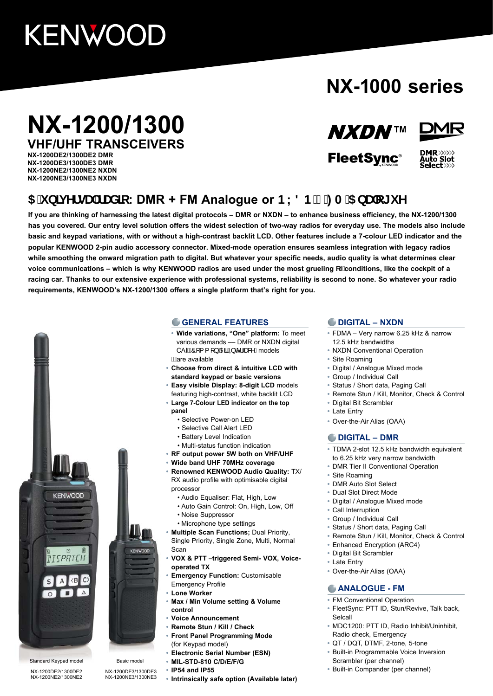# **KENWOOD**

# **NX-1000 series**

# **NX-1200/1300 VHF/UHF TRANSCEIVERS**

**NX-1200DE2/1300DE2 DMR NX-1200DE3/1300DE3 DMR NX-1200NE2/1300NE2 NXDN NX-1200NE3/1300NE3 NXDN**

## **NXDNTM**



**FleetSync®** 



## $5$  i b]j YfgU fUX]c: DMR + FM Analogue or BL8 B  $Z$ : A  $5$  bUc[ i Y

**If you are thinking of harnessing the latest digital protocols – DMR or NXDN – to enhance business efficiency, the NX-1200/1300 has you covered. Our entry level solution offers the widest selection of two-way radios for everyday use. The models also include basic and keypad variations, with or without a high-contrast backlit LCD. Other features include a 7-colour LED indicator and the popular KENWOOD 2-pin audio accessory connector. Mixed-mode operation ensures seamless integration with legacy radios while smoothing the onward migration path to digital. But whatever your specific needs, audio quality is what determines clear**  voice communications – which is why KENWOOD radios are used under the most grueling cZconditions, like the cockpit of a **racing car. Thanks to our extensive experience with professional systems, reliability is second to none. So whatever your radio requirements, KENWOOD's NX-1200/1300 offers a single platform that's right for you.**



NX-1200NE2/1300NE2

#### **GENERAL FEATURES**

- **• Wide variations, "One" platform:** To meet various demands -- DMR or NXDN digital CAIAO [{ [ } ADEAD ext Dmodels **As**are available
- **• Choose from direct & intuitive LCD with standard keypad or basic versions**
- **• Easy visible Display: 8-digit LCD** models featuring high-contrast, white backlit LCD **• Large 7-Colour LED indicator on the top**
- **panel**
	- Selective Power-on LED
	- Selective Call Alert LED
	- Battery Level Indication
	- Multi-status function indication
- **• RF output power 5W both on VHF/UHF**
- **• Wide band UHF 70MHz coverage**
- **• Renowned KENWOOD Audio Quality:** TX/ RX audio profile with optimisable digital processor
	- Audio Equaliser: Flat, High, Low
	- Auto Gain Control: On, High, Low, Off
	- Noise Suppressor
	- Microphone type settings
- **• Multiple Scan Functions;** Dual Priority, Single Priority, Single Zone, Multi, Normal Scan
- **• VOX & PTT –triggered Semi- VOX, Voiceoperated TX**
- **• Emergency Function:** Customisable Emergency Profile
- **• Lone Worker**
- **• Max / Min Volume setting & Volume control**
- **• Voice Announcement**
- **• Remote Stun / Kill / Check**
- **• Front Panel Programming Mode** (for Keypad model)
- **• Electronic Serial Number (ESN)**
- **• MIL-STD-810 C/D/E/F/G**
- **• IP54 and IP55**

NX-1200DE3/1300DE3 NX-1200NE3/1300NE3

**KENWOOD** 

**• Intrinsically safe option (Available later)**

#### **DIGITAL – NXDN**

- **•** FDMA Very narrow 6.25 kHz & narrow 12.5 kHz bandwidths
- **•** NXDN Conventional Operation
- **•** Site Roaming
- **•** Digital / Analogue Mixed mode
- **•** Group / Individual Call
- **•** Status / Short data, Paging Call
- **•** Remote Stun / Kill, Monitor, Check & Control
- **•** Digital Bit Scrambler
- **•** Late Entry
- **•** Over-the-Air Alias (OAA)

#### **DIGITAL – DMR**

- **•** TDMA 2-slot 12.5 kHz bandwidth equivalent to 6.25 kHz very narrow bandwidth
- **•** DMR Tier II Conventional Operation
- **•** Site Roaming
- **•** DMR Auto Slot Select
- **•** Dual Slot Direct Mode
- **•** Digital / Analogue Mixed mode
- **•** Call Interruption
- **•** Group / Individual Call
- **•** Status / Short data, Paging Call
- **•** Remote Stun / Kill, Monitor, Check & Control
- **•** Enhanced Encryption (ARC4)
- **•** Digital Bit Scrambler
- **•** Late Entry
- **•** Over-the-Air Alias (OAA)

#### **ANALOGUE - FM**

- **•** FM Conventional Operation
- **•** FleetSync: PTT ID, Stun/Revive, Talk back, Selcall
- **•** MDC1200: PTT ID, Radio Inhibit/Uninhibit, Radio check, Emergency
- **•** QT / DQT, DTMF, 2-tone, 5-tone
- **•** Built-in Programmable Voice Inversion Scrambler (per channel)
- **•** Built-in Compander (per channel)